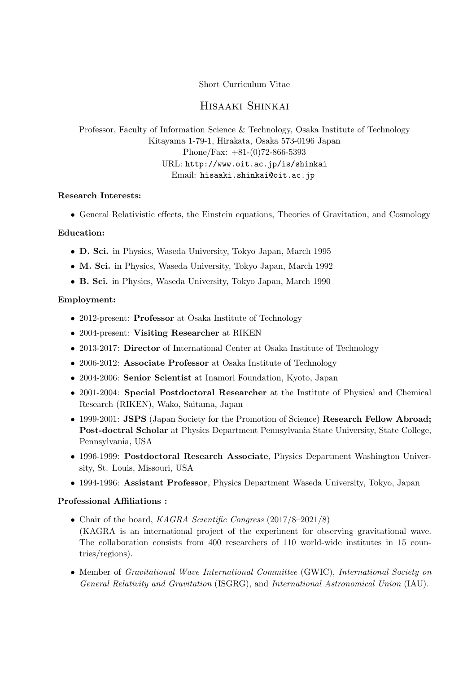## Short Curriculum Vitae

# Hisaaki Shinkai

Professor, Faculty of Information Science & Technology, Osaka Institute of Technology Kitayama 1-79-1, Hirakata, Osaka 573-0196 Japan Phone/Fax: +81-(0)72-866-5393 URL: http://www.oit.ac.jp/is/shinkai Email: hisaaki.shinkai@oit.ac.jp

## **Research Interests:**

• General Relativistic effects, the Einstein equations, Theories of Gravitation, and Cosmology

## **Education:**

- **D. Sci.** in Physics, Waseda University, Tokyo Japan, March 1995
- **M. Sci.** in Physics, Waseda University, Tokyo Japan, March 1992
- **B. Sci.** in Physics, Waseda University, Tokyo Japan, March 1990

#### **Employment:**

- 2012-present: **Professor** at Osaka Institute of Technology
- 2004-present: **Visiting Researcher** at RIKEN
- 2013-2017: **Director** of International Center at Osaka Institute of Technology
- 2006-2012: **Associate Professor** at Osaka Institute of Technology
- 2004-2006: **Senior Scientist** at Inamori Foundation, Kyoto, Japan
- 2001-2004: **Special Postdoctoral Researcher** at the Institute of Physical and Chemical Research (RIKEN), Wako, Saitama, Japan
- 1999-2001: **JSPS** (Japan Society for the Promotion of Science) **Research Fellow Abroad; Post-doctral Scholar** at Physics Department Pennsylvania State University, State College, Pennsylvania, USA
- 1996-1999: **Postdoctoral Research Associate**, Physics Department Washington University, St. Louis, Missouri, USA
- 1994-1996: **Assistant Professor**, Physics Department Waseda University, Tokyo, Japan

#### **Professional Affiliations :**

- Chair of the board, *KAGRA Scientific Congress* (2017/8–2021/8) (KAGRA is an international project of the experiment for observing gravitational wave. The collaboration consists from 400 researchers of 110 world-wide institutes in 15 countries/regions).
- Member of *Gravitational Wave International Committee* (GWIC), *International Society on General Relativity and Gravitation* (ISGRG), and *International Astronomical Union* (IAU).